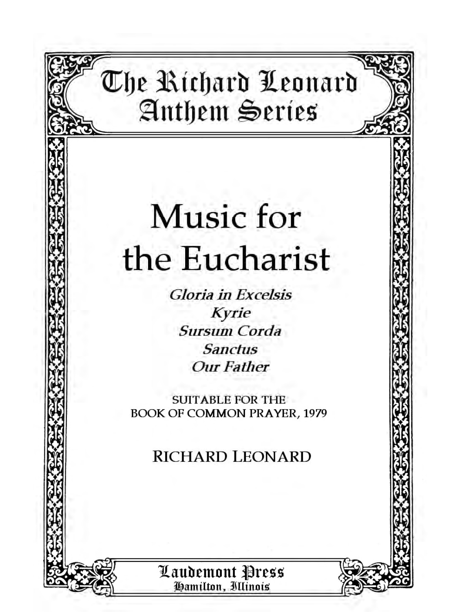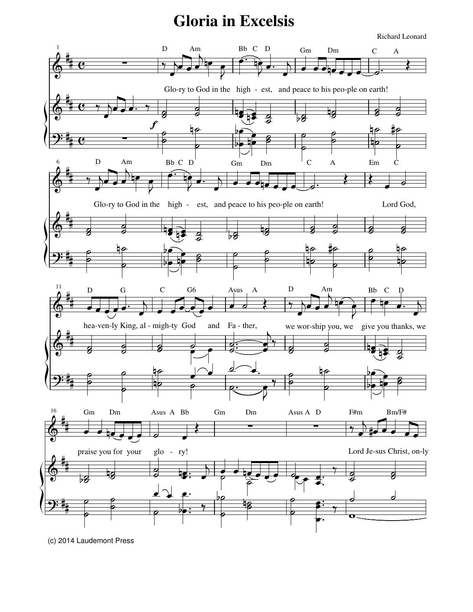## **Gloria** in Excelsis



(c) 2014 Laudemont Press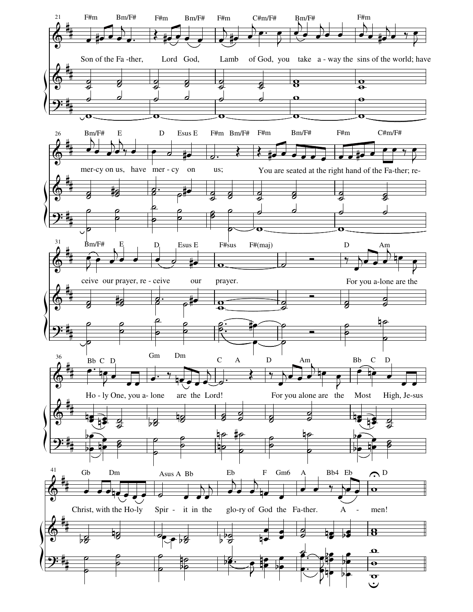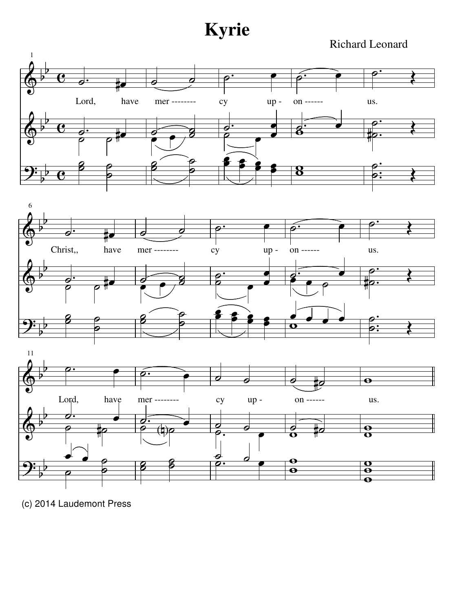**Kyrie**

Richard Leonard



(c) 2014 Laudemont Press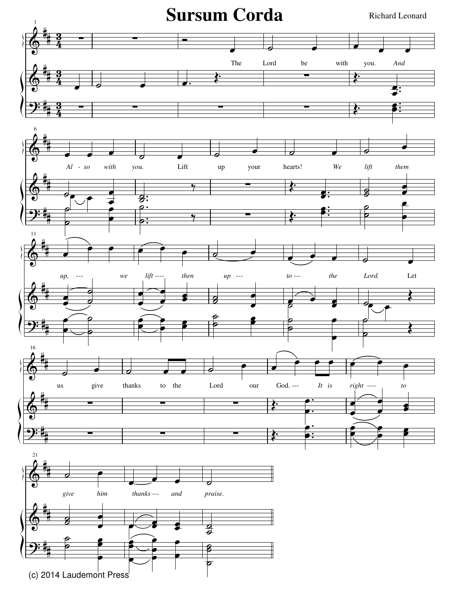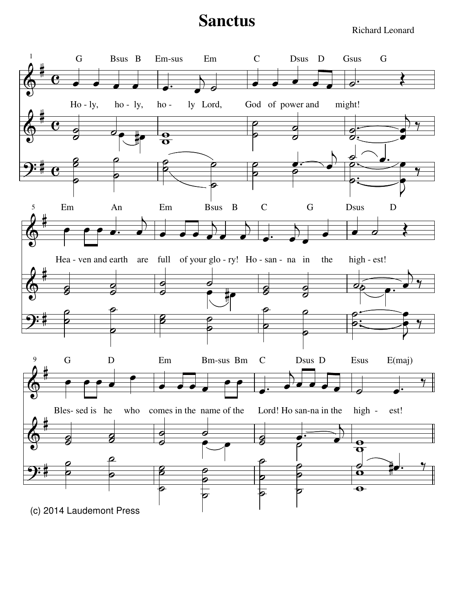## **Sanctus**

Richard Leonard

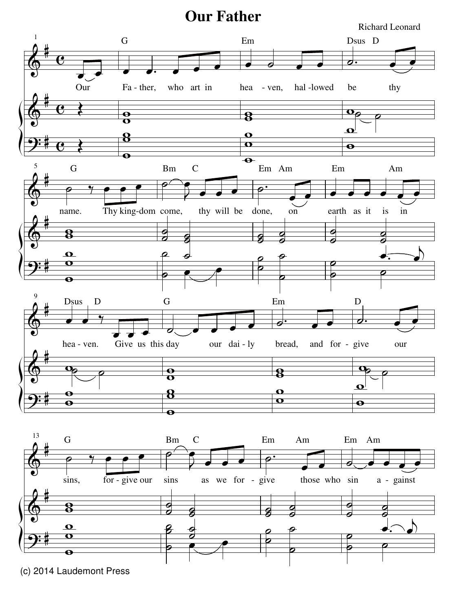## **Our Father**